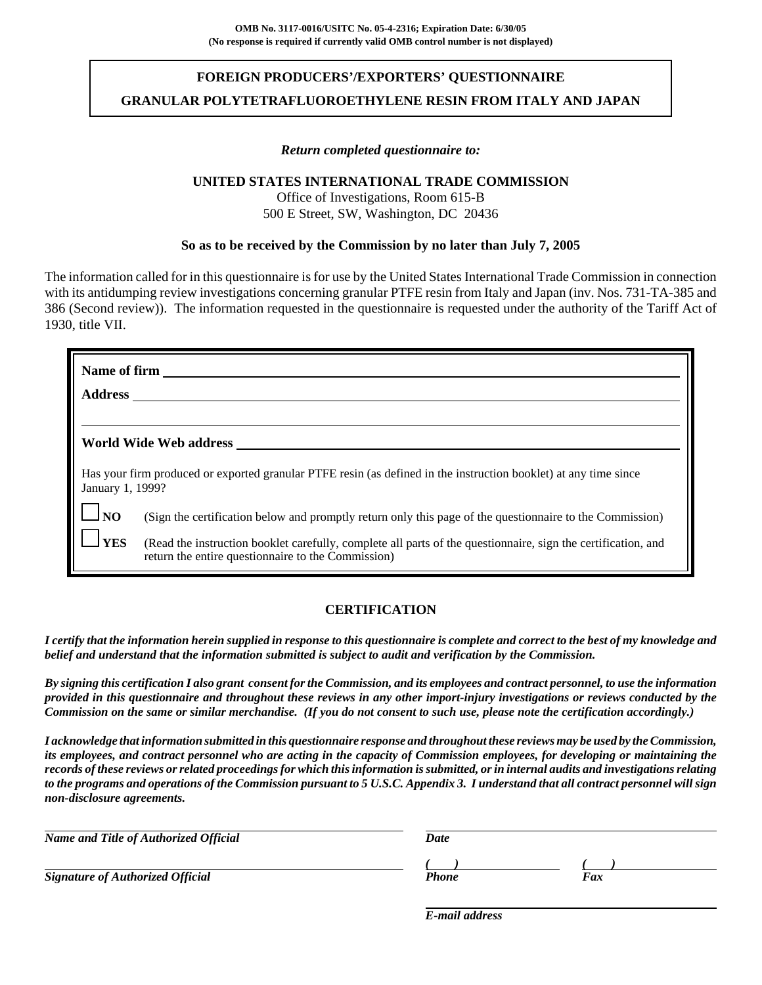# **FOREIGN PRODUCERS'/EXPORTERS' QUESTIONNAIRE GRANULAR POLYTETRAFLUOROETHYLENE RESIN FROM ITALY AND JAPAN**

#### *Return completed questionnaire to:*

#### **UNITED STATES INTERNATIONAL TRADE COMMISSION**

Office of Investigations, Room 615-B 500 E Street, SW, Washington, DC 20436

#### **So as to be received by the Commission by no later than July 7, 2005**

The information called for in this questionnaire is for use by the United States International Trade Commission in connection with its antidumping review investigations concerning granular PTFE resin from Italy and Japan (inv. Nos. 731-TA-385 and 386 (Second review)). The information requested in the questionnaire is requested under the authority of the Tariff Act of 1930, title VII.

| Name of firm<br><b>Address</b> |                                                                                                                                                                     |
|--------------------------------|---------------------------------------------------------------------------------------------------------------------------------------------------------------------|
|                                |                                                                                                                                                                     |
|                                | World Wide Web address                                                                                                                                              |
| January 1, 1999?               | Has your firm produced or exported granular PTFE resin (as defined in the instruction booklet) at any time since                                                    |
| <b>JNO</b>                     | (Sign the certification below and promptly return only this page of the questionnaire to the Commission)                                                            |
| <b>YES</b>                     | (Read the instruction booklet carefully, complete all parts of the questionnaire, sign the certification, and<br>return the entire questionnaire to the Commission) |

### **CERTIFICATION**

*I certify that the information herein supplied in response to this questionnaire is complete and correct to the best of my knowledge and belief and understand that the information submitted is subject to audit and verification by the Commission.*

*By signing this certification I also grant consent for the Commission, and its employees and contract personnel, to use the information provided in this questionnaire and throughout these reviews in any other import-injury investigations or reviews conducted by the Commission on the same or similar merchandise. (If you do not consent to such use, please note the certification accordingly.)*

*I acknowledge that information submitted in this questionnaire response and throughout these reviews may be used by the Commission, its employees, and contract personnel who are acting in the capacity of Commission employees, for developing or maintaining the records of these reviews or related proceedings for which this information is submitted, or in internal audits and investigations relating to the programs and operations of the Commission pursuant to 5 U.S.C. Appendix 3. I understand that all contract personnel will sign non-disclosure agreements.*

| Name and Title of Authorized Official   | Date  |     |  |  |
|-----------------------------------------|-------|-----|--|--|
|                                         |       |     |  |  |
| <b>Signature of Authorized Official</b> | Phone | Fax |  |  |
|                                         |       |     |  |  |

*E-mail address*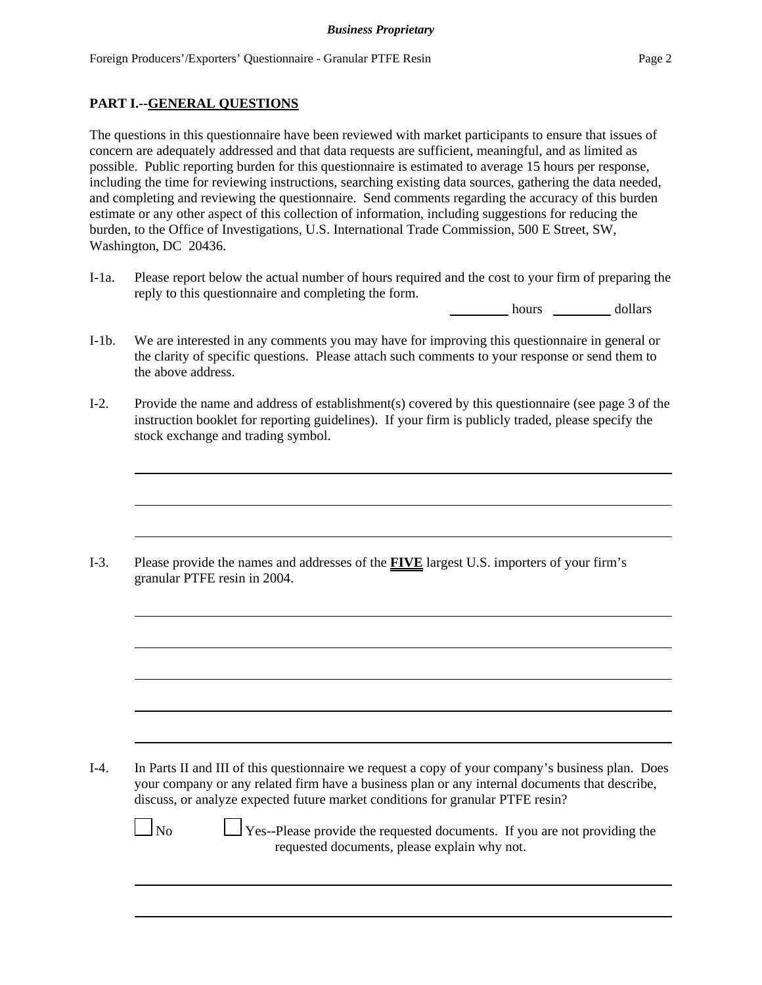## **PART I.--GENERAL QUESTIONS**

The questions in this questionnaire have been reviewed with market participants to ensure that issues of concern are adequately addressed and that data requests are sufficient, meaningful, and as limited as possible. Public reporting burden for this questionnaire is estimated to average 15 hours per response, including the time for reviewing instructions, searching existing data sources, gathering the data needed, and completing and reviewing the questionnaire. Send comments regarding the accuracy of this burden estimate or any other aspect of this collection of information, including suggestions for reducing the burden, to the Office of Investigations, U.S. International Trade Commission, 500 E Street, SW, Washington, DC 20436.

I-1a. Please report below the actual number of hours required and the cost to your firm of preparing the reply to this questionnaire and completing the form.

hours dollars

- I-1b. We are interested in any comments you may have for improving this questionnaire in general or the clarity of specific questions. Please attach such comments to your response or send them to the above address.
- I-2. Provide the name and address of establishment(s) covered by this questionnaire (see page 3 of the instruction booklet for reporting guidelines). If your firm is publicly traded, please specify the stock exchange and trading symbol.

I-3. Please provide the names and addresses of the **FIVE** largest U.S. importers of your firm's granular PTFE resin in 2004.

I-4. In Parts II and III of this questionnaire we request a copy of your company's business plan. Does your company or any related firm have a business plan or any internal documents that describe, discuss, or analyze expected future market conditions for granular PTFE resin?

 $\Box$  No  $\Box$  Yes--Please provide the requested documents. If you are not providing the requested documents, please explain why not.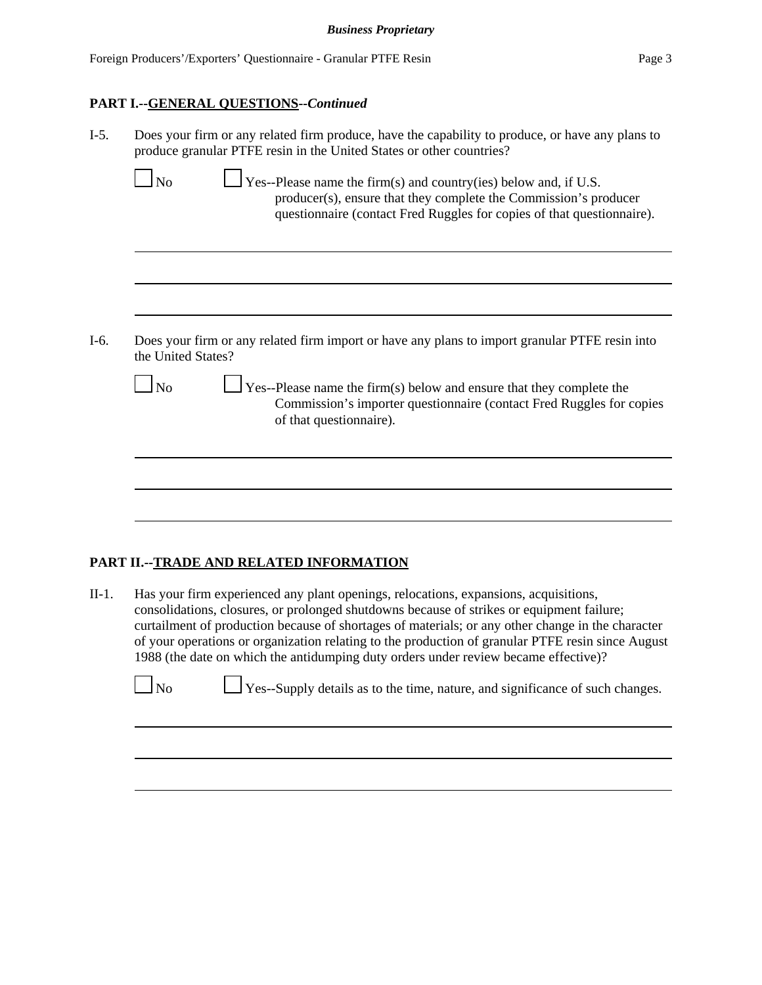#### **PART I.--GENERAL QUESTIONS--***Continued*

| $I-5.$ | Does your firm or any related firm produce, have the capability to produce, or have any plans to<br>produce granular PTFE resin in the United States or other countries?                                                                |  |  |  |  |  |  |  |  |
|--------|-----------------------------------------------------------------------------------------------------------------------------------------------------------------------------------------------------------------------------------------|--|--|--|--|--|--|--|--|
|        | $\Box$ Yes--Please name the firm(s) and country(ies) below and, if U.S.<br>N <sub>0</sub><br>producer(s), ensure that they complete the Commission's producer<br>questionnaire (contact Fred Ruggles for copies of that questionnaire). |  |  |  |  |  |  |  |  |
|        |                                                                                                                                                                                                                                         |  |  |  |  |  |  |  |  |
| $I-6.$ | Does your firm or any related firm import or have any plans to import granular PTFE resin into<br>the United States?                                                                                                                    |  |  |  |  |  |  |  |  |
|        | $\sqrt{\frac{1}{1-\epsilon}}$ Yes--Please name the firm(s) below and ensure that they complete the<br><b>No</b><br>Commission's importer questionnaire (contact Fred Ruggles for copies<br>of that questionnaire).                      |  |  |  |  |  |  |  |  |
|        |                                                                                                                                                                                                                                         |  |  |  |  |  |  |  |  |
|        |                                                                                                                                                                                                                                         |  |  |  |  |  |  |  |  |

## **PART II.--TRADE AND RELATED INFORMATION**

II-1. Has your firm experienced any plant openings, relocations, expansions, acquisitions, consolidations, closures, or prolonged shutdowns because of strikes or equipment failure; curtailment of production because of shortages of materials; or any other change in the character of your operations or organization relating to the production of granular PTFE resin since August 1988 (the date on which the antidumping duty orders under review became effective)?

| $\Box$ No | $\Box$ Yes--Supply details as to the time, nature, and significance of such changes. |
|-----------|--------------------------------------------------------------------------------------|
|           |                                                                                      |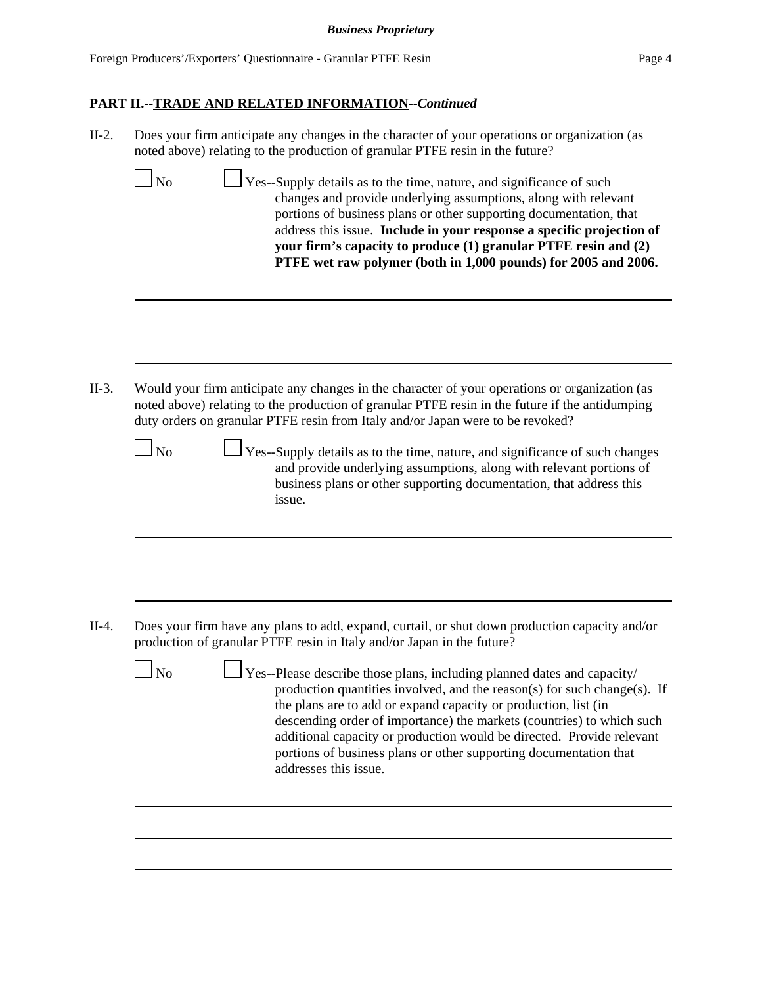| $II-2.$ | Does your firm anticipate any changes in the character of your operations or organization (as<br>noted above) relating to the production of granular PTFE resin in the future?                                                                                                      |                                                                                                                                                                                                                                                                                                                                                                                                                                               |
|---------|-------------------------------------------------------------------------------------------------------------------------------------------------------------------------------------------------------------------------------------------------------------------------------------|-----------------------------------------------------------------------------------------------------------------------------------------------------------------------------------------------------------------------------------------------------------------------------------------------------------------------------------------------------------------------------------------------------------------------------------------------|
|         | $1_{\mathrm{No}}$                                                                                                                                                                                                                                                                   | Yes--Supply details as to the time, nature, and significance of such<br>changes and provide underlying assumptions, along with relevant<br>portions of business plans or other supporting documentation, that<br>address this issue. Include in your response a specific projection of<br>your firm's capacity to produce (1) granular PTFE resin and (2)<br>PTFE wet raw polymer (both in 1,000 pounds) for 2005 and 2006.                   |
|         |                                                                                                                                                                                                                                                                                     |                                                                                                                                                                                                                                                                                                                                                                                                                                               |
| $II-3.$ | Would your firm anticipate any changes in the character of your operations or organization (as<br>noted above) relating to the production of granular PTFE resin in the future if the antidumping<br>duty orders on granular PTFE resin from Italy and/or Japan were to be revoked? |                                                                                                                                                                                                                                                                                                                                                                                                                                               |
|         | $\Box$ No<br>issue.                                                                                                                                                                                                                                                                 | Yes--Supply details as to the time, nature, and significance of such changes<br>and provide underlying assumptions, along with relevant portions of<br>business plans or other supporting documentation, that address this                                                                                                                                                                                                                    |
|         |                                                                                                                                                                                                                                                                                     |                                                                                                                                                                                                                                                                                                                                                                                                                                               |
| $II-4.$ | Does your firm have any plans to add, expand, curtail, or shut down production capacity and/or<br>production of granular PTFE resin in Italy and/or Japan in the future?                                                                                                            |                                                                                                                                                                                                                                                                                                                                                                                                                                               |
|         | No<br>addresses this issue.                                                                                                                                                                                                                                                         | Yes--Please describe those plans, including planned dates and capacity/<br>production quantities involved, and the reason(s) for such change(s). If<br>the plans are to add or expand capacity or production, list (in<br>descending order of importance) the markets (countries) to which such<br>additional capacity or production would be directed. Provide relevant<br>portions of business plans or other supporting documentation that |
|         |                                                                                                                                                                                                                                                                                     |                                                                                                                                                                                                                                                                                                                                                                                                                                               |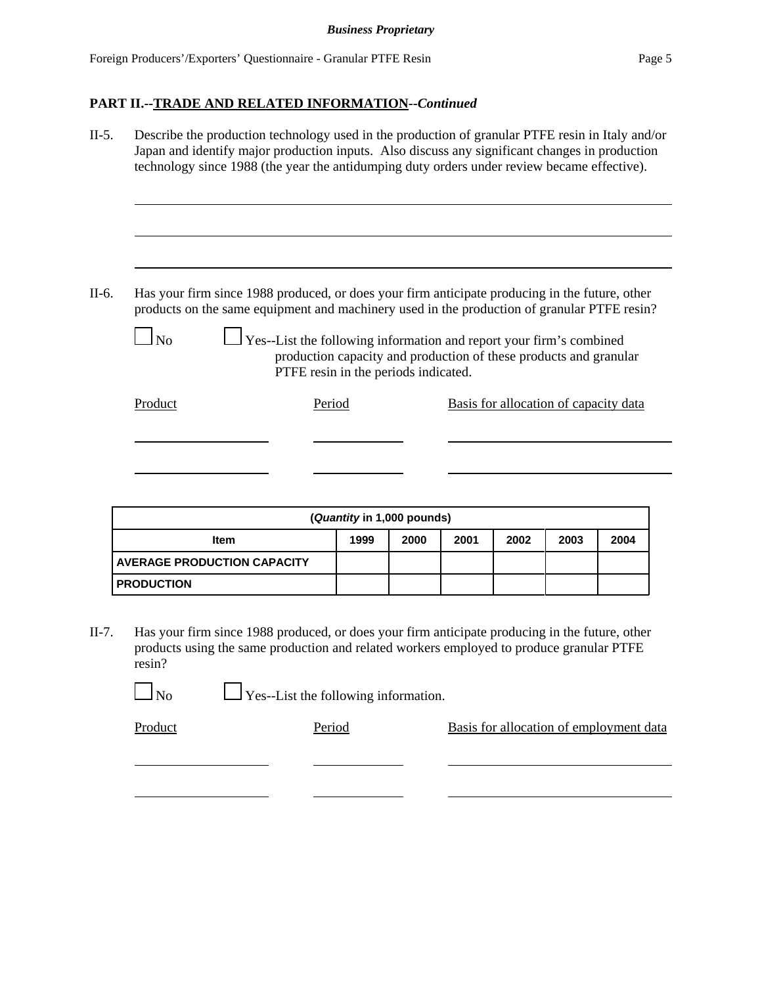II-5. Describe the production technology used in the production of granular PTFE resin in Italy and/or Japan and identify major production inputs. Also discuss any significant changes in production technology since 1988 (the year the antidumping duty orders under review became effective). II-6. Has your firm since 1988 produced, or does your firm anticipate producing in the future, other products on the same equipment and machinery used in the production of granular PTFE resin?  $\Box$  Yes--List the following information and report your firm's combined production capacity and production of these products and granular PTFE resin in the periods indicated.

| Product | Period | Basis for allocation of capacity data |
|---------|--------|---------------------------------------|
|         |        |                                       |
|         |        |                                       |

| (Quantity in 1,000 pounds)                                  |  |  |  |  |  |  |  |  |  |
|-------------------------------------------------------------|--|--|--|--|--|--|--|--|--|
| 2001<br>2002<br>1999<br>2000<br>2003<br>2004<br><b>Item</b> |  |  |  |  |  |  |  |  |  |
| <b>AVERAGE PRODUCTION CAPACITY</b>                          |  |  |  |  |  |  |  |  |  |
| <b>PRODUCTION</b>                                           |  |  |  |  |  |  |  |  |  |

II-7. Has your firm since 1988 produced, or does your firm anticipate producing in the future, other products using the same production and related workers employed to produce granular PTFE resin?

 $\Box$  No  $\Box$  Yes--List the following information.

Product Period Period Basis for allocation of employment data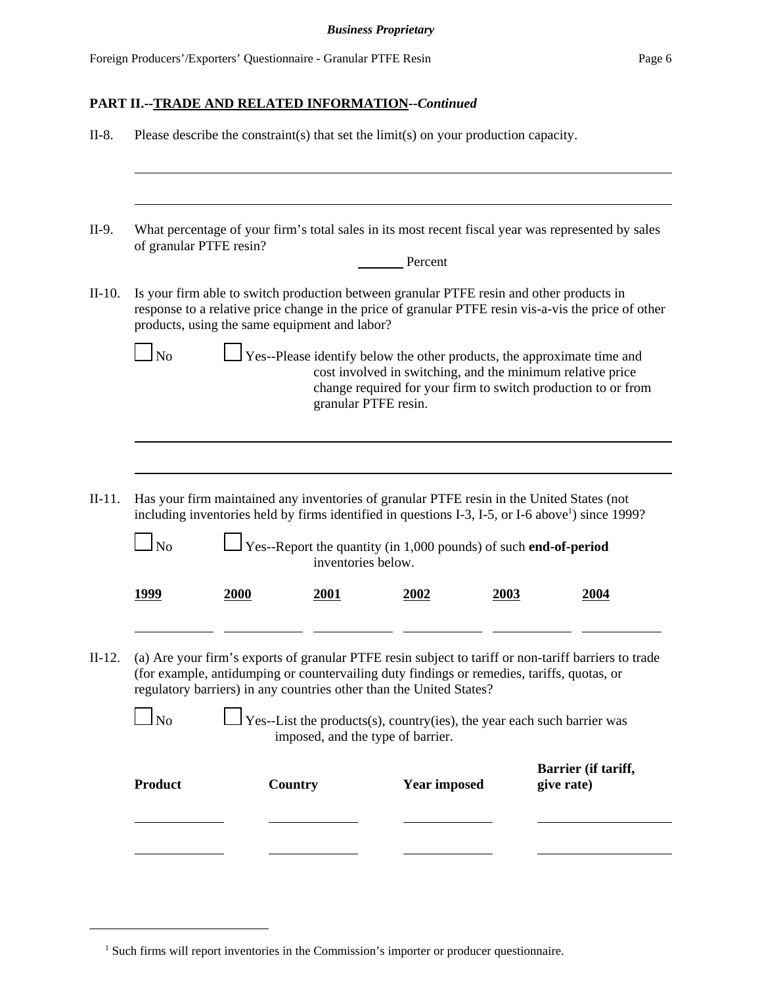| $II-8.$  |                                                                                                                                                                                                                                         |             |                                               | Please describe the constraint(s) that set the limit(s) on your production capacity. |      |                                                                                                                                                                                                            |  |  |  |  |
|----------|-----------------------------------------------------------------------------------------------------------------------------------------------------------------------------------------------------------------------------------------|-------------|-----------------------------------------------|--------------------------------------------------------------------------------------|------|------------------------------------------------------------------------------------------------------------------------------------------------------------------------------------------------------------|--|--|--|--|
|          |                                                                                                                                                                                                                                         |             |                                               |                                                                                      |      |                                                                                                                                                                                                            |  |  |  |  |
| II-9.    | of granular PTFE resin?                                                                                                                                                                                                                 |             |                                               | Percent                                                                              |      | What percentage of your firm's total sales in its most recent fiscal year was represented by sales                                                                                                         |  |  |  |  |
| $II-10.$ |                                                                                                                                                                                                                                         |             | products, using the same equipment and labor? |                                                                                      |      | Is your firm able to switch production between granular PTFE resin and other products in<br>response to a relative price change in the price of granular PTFE resin vis-a-vis the price of other           |  |  |  |  |
|          | Yes--Please identify below the other products, the approximate time and<br>$\ln$<br>cost involved in switching, and the minimum relative price<br>change required for your firm to switch production to or from<br>granular PTFE resin. |             |                                               |                                                                                      |      |                                                                                                                                                                                                            |  |  |  |  |
|          |                                                                                                                                                                                                                                         |             |                                               |                                                                                      |      |                                                                                                                                                                                                            |  |  |  |  |
| $II-11.$ | $\Box$ No                                                                                                                                                                                                                               |             | inventories below.                            | $\perp$ Yes--Report the quantity (in 1,000 pounds) of such <b>end-of-period</b>      |      | Has your firm maintained any inventories of granular PTFE resin in the United States (not<br>including inventories held by firms identified in questions I-3, I-5, or I-6 above <sup>1</sup> ) since 1999? |  |  |  |  |
|          | <u>1999</u>                                                                                                                                                                                                                             | <b>2000</b> | 2001                                          | 2002                                                                                 | 2003 | 2004                                                                                                                                                                                                       |  |  |  |  |
| $II-12.$ |                                                                                                                                                                                                                                         |             |                                               | regulatory barriers) in any countries other than the United States?                  |      | (a) Are your firm's exports of granular PTFE resin subject to tariff or non-tariff barriers to trade<br>(for example, antidumping or countervailing duty findings or remedies, tariffs, quotas, or         |  |  |  |  |
|          | $\Box$ No                                                                                                                                                                                                                               |             |                                               | imposed, and the type of barrier.                                                    |      | $\Box$ Yes--List the products(s), country(ies), the year each such barrier was                                                                                                                             |  |  |  |  |
|          | <b>Product</b>                                                                                                                                                                                                                          |             | <b>Country</b>                                | <b>Year imposed</b>                                                                  |      | Barrier (if tariff,<br>give rate)                                                                                                                                                                          |  |  |  |  |
|          |                                                                                                                                                                                                                                         |             |                                               |                                                                                      |      |                                                                                                                                                                                                            |  |  |  |  |
|          |                                                                                                                                                                                                                                         |             |                                               |                                                                                      |      |                                                                                                                                                                                                            |  |  |  |  |

<sup>&</sup>lt;sup>1</sup> Such firms will report inventories in the Commission's importer or producer questionnaire.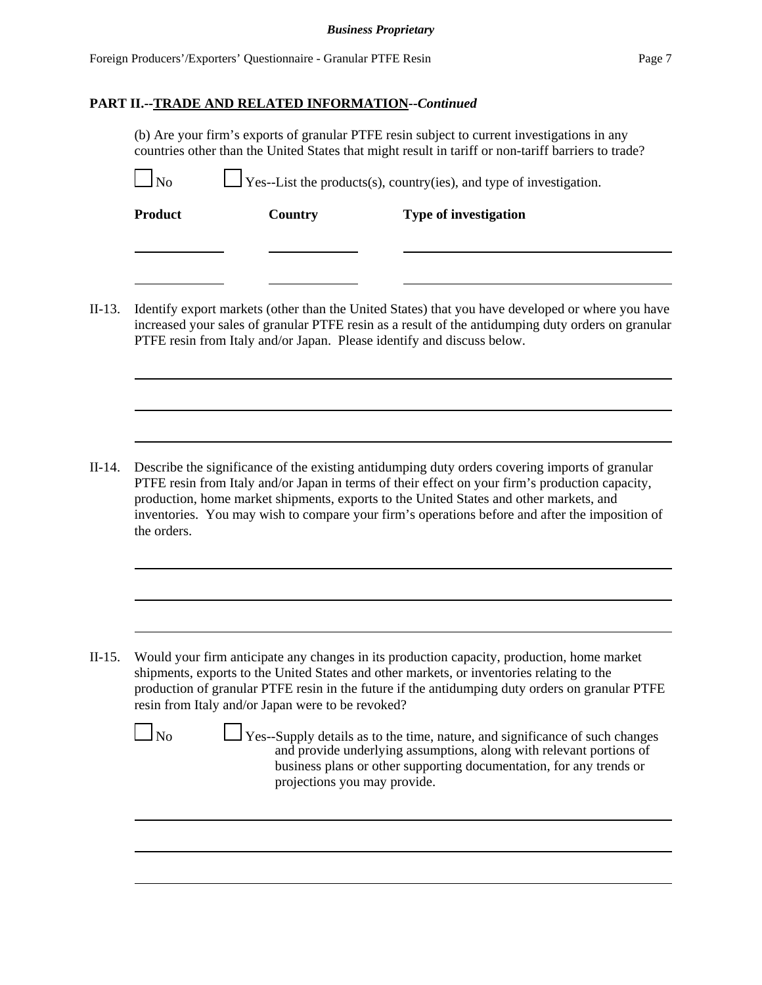#### *Business Proprietary*

## **PART II.--TRADE AND RELATED INFORMATION--***Continued*

(b) Are your firm's exports of granular PTFE resin subject to current investigations in any countries other than the United States that might result in tariff or non-tariff barriers to trade?

| <b>Product</b> | <b>Country</b>                                    | <b>Type of investigation</b>                                                                                                                                                                                                                                                                        |
|----------------|---------------------------------------------------|-----------------------------------------------------------------------------------------------------------------------------------------------------------------------------------------------------------------------------------------------------------------------------------------------------|
|                |                                                   | Identify export markets (other than the United States) that you have developed or where you have<br>increased your sales of granular PTFE resin as a result of the antidumping duty orders on granular<br>PTFE resin from Italy and/or Japan. Please identify and discuss below.                    |
|                |                                                   |                                                                                                                                                                                                                                                                                                     |
| the orders.    |                                                   | production, home market shipments, exports to the United States and other markets, and                                                                                                                                                                                                              |
|                |                                                   | Describe the significance of the existing antidumping duty orders covering imports of granular<br>PTFE resin from Italy and/or Japan in terms of their effect on your firm's production capacity,<br>inventories. You may wish to compare your firm's operations before and after the imposition of |
|                | resin from Italy and/or Japan were to be revoked? | Would your firm anticipate any changes in its production capacity, production, home market<br>shipments, exports to the United States and other markets, or inventories relating to the<br>production of granular PTFE resin in the future if the antidumping duty orders on granular PTFE          |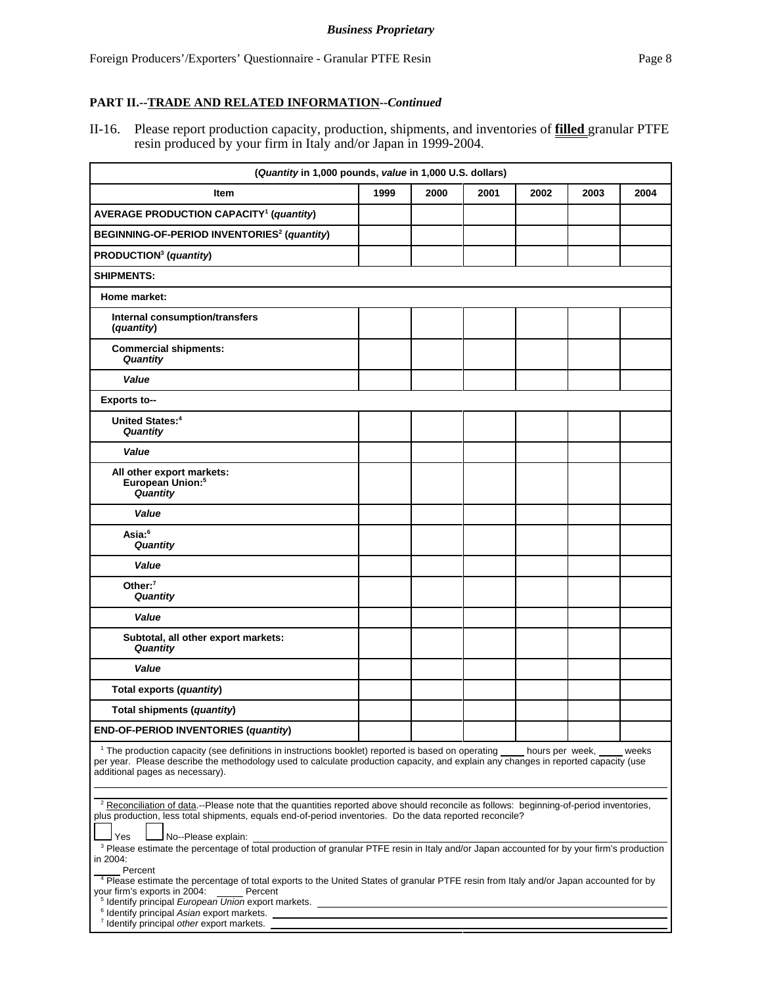II-16. Please report production capacity, production, shipments, and inventories of **filled** granular PTFE resin produced by your firm in Italy and/or Japan in 1999-2004.

| (Quantity in 1,000 pounds, value in 1,000 U.S. dollars)                                                                                                                                                                                                                                                                                                                                                                                                                                                    |      |      |      |      |      |      |  |
|------------------------------------------------------------------------------------------------------------------------------------------------------------------------------------------------------------------------------------------------------------------------------------------------------------------------------------------------------------------------------------------------------------------------------------------------------------------------------------------------------------|------|------|------|------|------|------|--|
| Item                                                                                                                                                                                                                                                                                                                                                                                                                                                                                                       | 1999 | 2000 | 2001 | 2002 | 2003 | 2004 |  |
| <b>AVERAGE PRODUCTION CAPACITY<sup>1</sup> (quantity)</b>                                                                                                                                                                                                                                                                                                                                                                                                                                                  |      |      |      |      |      |      |  |
| BEGINNING-OF-PERIOD INVENTORIES <sup>2</sup> (quantity)                                                                                                                                                                                                                                                                                                                                                                                                                                                    |      |      |      |      |      |      |  |
| PRODUCTION <sup>3</sup> (quantity)                                                                                                                                                                                                                                                                                                                                                                                                                                                                         |      |      |      |      |      |      |  |
| <b>SHIPMENTS:</b>                                                                                                                                                                                                                                                                                                                                                                                                                                                                                          |      |      |      |      |      |      |  |
| Home market:                                                                                                                                                                                                                                                                                                                                                                                                                                                                                               |      |      |      |      |      |      |  |
| Internal consumption/transfers<br>(quantity)                                                                                                                                                                                                                                                                                                                                                                                                                                                               |      |      |      |      |      |      |  |
| <b>Commercial shipments:</b><br>Quantity                                                                                                                                                                                                                                                                                                                                                                                                                                                                   |      |      |      |      |      |      |  |
| Value                                                                                                                                                                                                                                                                                                                                                                                                                                                                                                      |      |      |      |      |      |      |  |
| Exports to--                                                                                                                                                                                                                                                                                                                                                                                                                                                                                               |      |      |      |      |      |      |  |
| United States: <sup>4</sup><br>Quantity                                                                                                                                                                                                                                                                                                                                                                                                                                                                    |      |      |      |      |      |      |  |
| Value                                                                                                                                                                                                                                                                                                                                                                                                                                                                                                      |      |      |      |      |      |      |  |
| All other export markets:<br>European Union: <sup>5</sup><br>Quantity                                                                                                                                                                                                                                                                                                                                                                                                                                      |      |      |      |      |      |      |  |
| Value                                                                                                                                                                                                                                                                                                                                                                                                                                                                                                      |      |      |      |      |      |      |  |
| Asia: <sup>6</sup><br>Quantity                                                                                                                                                                                                                                                                                                                                                                                                                                                                             |      |      |      |      |      |      |  |
| Value                                                                                                                                                                                                                                                                                                                                                                                                                                                                                                      |      |      |      |      |      |      |  |
| Other: $7$<br>Quantity                                                                                                                                                                                                                                                                                                                                                                                                                                                                                     |      |      |      |      |      |      |  |
| Value                                                                                                                                                                                                                                                                                                                                                                                                                                                                                                      |      |      |      |      |      |      |  |
| Subtotal, all other export markets:<br>Quantity                                                                                                                                                                                                                                                                                                                                                                                                                                                            |      |      |      |      |      |      |  |
| Value                                                                                                                                                                                                                                                                                                                                                                                                                                                                                                      |      |      |      |      |      |      |  |
| Total exports (quantity)                                                                                                                                                                                                                                                                                                                                                                                                                                                                                   |      |      |      |      |      |      |  |
| Total shipments (quantity)                                                                                                                                                                                                                                                                                                                                                                                                                                                                                 |      |      |      |      |      |      |  |
| <b>END-OF-PERIOD INVENTORIES (quantity)</b>                                                                                                                                                                                                                                                                                                                                                                                                                                                                |      |      |      |      |      |      |  |
| <sup>1</sup> The production capacity (see definitions in instructions booklet) reported is based on operating hours per week, weeks<br>per year. Please describe the methodology used to calculate production capacity, and explain any changes in reported capacity (use<br>additional pages as necessary).                                                                                                                                                                                               |      |      |      |      |      |      |  |
| <sup>2</sup> Reconciliation of data.--Please note that the quantities reported above should reconcile as follows: beginning-of-period inventories,<br>plus production, less total shipments, equals end-of-period inventories. Do the data reported reconcile?<br>No--Please explain:<br>Yes                                                                                                                                                                                                               |      |      |      |      |      |      |  |
| <sup>3</sup> Please estimate the percentage of total production of granular PTFE resin in Italy and/or Japan accounted for by your firm's production<br>in 2004:<br>Percent<br><sup>4</sup> Please estimate the percentage of total exports to the United States of granular PTFE resin from Italy and/or Japan accounted for by<br>your firm's exports in 2004:<br>Percent<br><sup>5</sup> Identify principal <i>European Union</i> export markets. <u>Container and the container and the containers</u> |      |      |      |      |      |      |  |
| <sup>6</sup> Identify principal Asian export markets.<br><sup>7</sup> Identify principal other export markets.                                                                                                                                                                                                                                                                                                                                                                                             |      |      |      |      |      |      |  |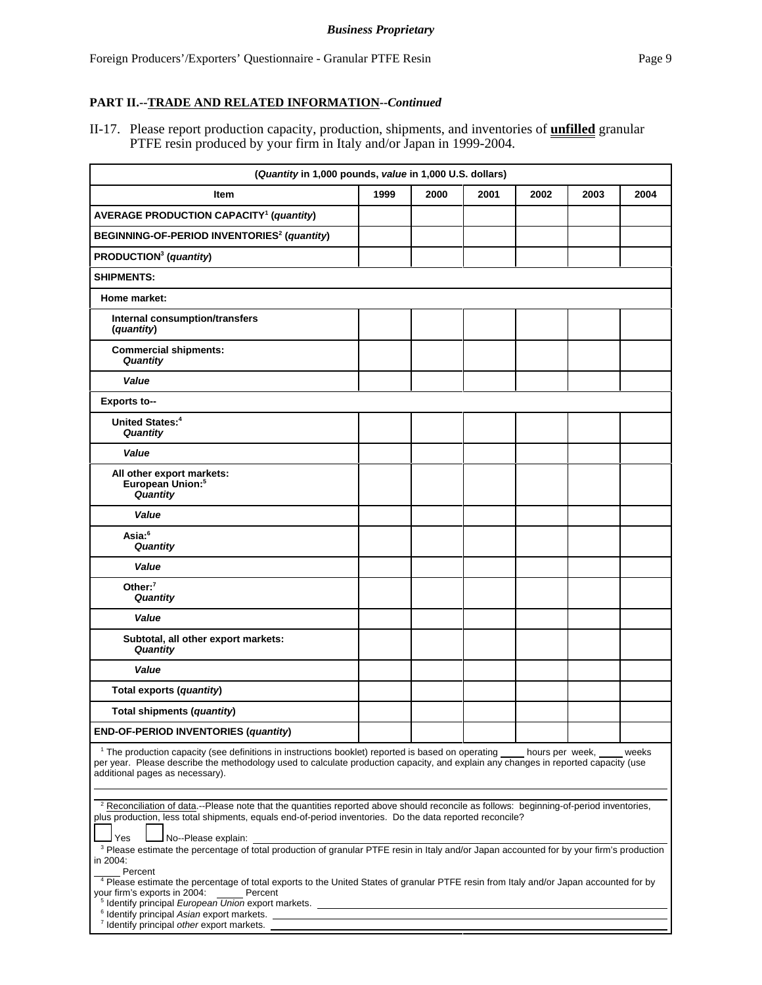II-17. Please report production capacity, production, shipments, and inventories of **unfilled** granular PTFE resin produced by your firm in Italy and/or Japan in 1999-2004.

| (Quantity in 1,000 pounds, value in 1,000 U.S. dollars)                                                                                                                                                                                                                                                                                                                                                                                       |      |      |      |      |      |      |  |
|-----------------------------------------------------------------------------------------------------------------------------------------------------------------------------------------------------------------------------------------------------------------------------------------------------------------------------------------------------------------------------------------------------------------------------------------------|------|------|------|------|------|------|--|
| ltem                                                                                                                                                                                                                                                                                                                                                                                                                                          | 1999 | 2000 | 2001 | 2002 | 2003 | 2004 |  |
| <b>AVERAGE PRODUCTION CAPACITY<sup>1</sup></b> (quantity)                                                                                                                                                                                                                                                                                                                                                                                     |      |      |      |      |      |      |  |
| BEGINNING-OF-PERIOD INVENTORIES <sup>2</sup> (quantity)                                                                                                                                                                                                                                                                                                                                                                                       |      |      |      |      |      |      |  |
| PRODUCTION <sup>3</sup> (quantity)                                                                                                                                                                                                                                                                                                                                                                                                            |      |      |      |      |      |      |  |
| <b>SHIPMENTS:</b>                                                                                                                                                                                                                                                                                                                                                                                                                             |      |      |      |      |      |      |  |
| Home market:                                                                                                                                                                                                                                                                                                                                                                                                                                  |      |      |      |      |      |      |  |
| Internal consumption/transfers<br>(quantity)                                                                                                                                                                                                                                                                                                                                                                                                  |      |      |      |      |      |      |  |
| <b>Commercial shipments:</b><br>Quantity                                                                                                                                                                                                                                                                                                                                                                                                      |      |      |      |      |      |      |  |
| Value                                                                                                                                                                                                                                                                                                                                                                                                                                         |      |      |      |      |      |      |  |
| <b>Exports to--</b>                                                                                                                                                                                                                                                                                                                                                                                                                           |      |      |      |      |      |      |  |
| United States: <sup>4</sup><br>Quantity                                                                                                                                                                                                                                                                                                                                                                                                       |      |      |      |      |      |      |  |
| Value                                                                                                                                                                                                                                                                                                                                                                                                                                         |      |      |      |      |      |      |  |
| All other export markets:<br>European Union: <sup>5</sup><br>Quantity                                                                                                                                                                                                                                                                                                                                                                         |      |      |      |      |      |      |  |
| Value                                                                                                                                                                                                                                                                                                                                                                                                                                         |      |      |      |      |      |      |  |
| Asia: <sup>6</sup><br>Quantity                                                                                                                                                                                                                                                                                                                                                                                                                |      |      |      |      |      |      |  |
| Value                                                                                                                                                                                                                                                                                                                                                                                                                                         |      |      |      |      |      |      |  |
| Other: $7$<br>Quantity                                                                                                                                                                                                                                                                                                                                                                                                                        |      |      |      |      |      |      |  |
| Value                                                                                                                                                                                                                                                                                                                                                                                                                                         |      |      |      |      |      |      |  |
| Subtotal, all other export markets:<br>Quantity                                                                                                                                                                                                                                                                                                                                                                                               |      |      |      |      |      |      |  |
| Value                                                                                                                                                                                                                                                                                                                                                                                                                                         |      |      |      |      |      |      |  |
| Total exports (quantity)                                                                                                                                                                                                                                                                                                                                                                                                                      |      |      |      |      |      |      |  |
| Total shipments (quantity)                                                                                                                                                                                                                                                                                                                                                                                                                    |      |      |      |      |      |      |  |
| <b>END-OF-PERIOD INVENTORIES (quantity)</b>                                                                                                                                                                                                                                                                                                                                                                                                   |      |      |      |      |      |      |  |
| <sup>1</sup> The production capacity (see definitions in instructions booklet) reported is based on operating<br>hours per week,<br>weeks<br>per year. Please describe the methodology used to calculate production capacity, and explain any changes in reported capacity (use<br>additional pages as necessary).                                                                                                                            |      |      |      |      |      |      |  |
| <sup>2</sup> Reconciliation of data.--Please note that the quantities reported above should reconcile as follows: beginning-of-period inventories,<br>plus production, less total shipments, equals end-of-period inventories. Do the data reported reconcile?<br>Yes<br>No--Please explain:                                                                                                                                                  |      |      |      |      |      |      |  |
| <sup>3</sup> Please estimate the percentage of total production of granular PTFE resin in Italy and/or Japan accounted for by your firm's production<br>in 2004:<br>Percent<br><sup>4</sup> Please estimate the percentage of total exports to the United States of granular PTFE resin from Italy and/or Japan accounted for by<br>your firm's exports in 2004:<br>Percent<br><sup>5</sup> Identify principal European Union export markets. |      |      |      |      |      |      |  |
| <sup>6</sup> Identify principal Asian export markets.<br><sup>7</sup> Identify principal other export markets.                                                                                                                                                                                                                                                                                                                                |      |      |      |      |      |      |  |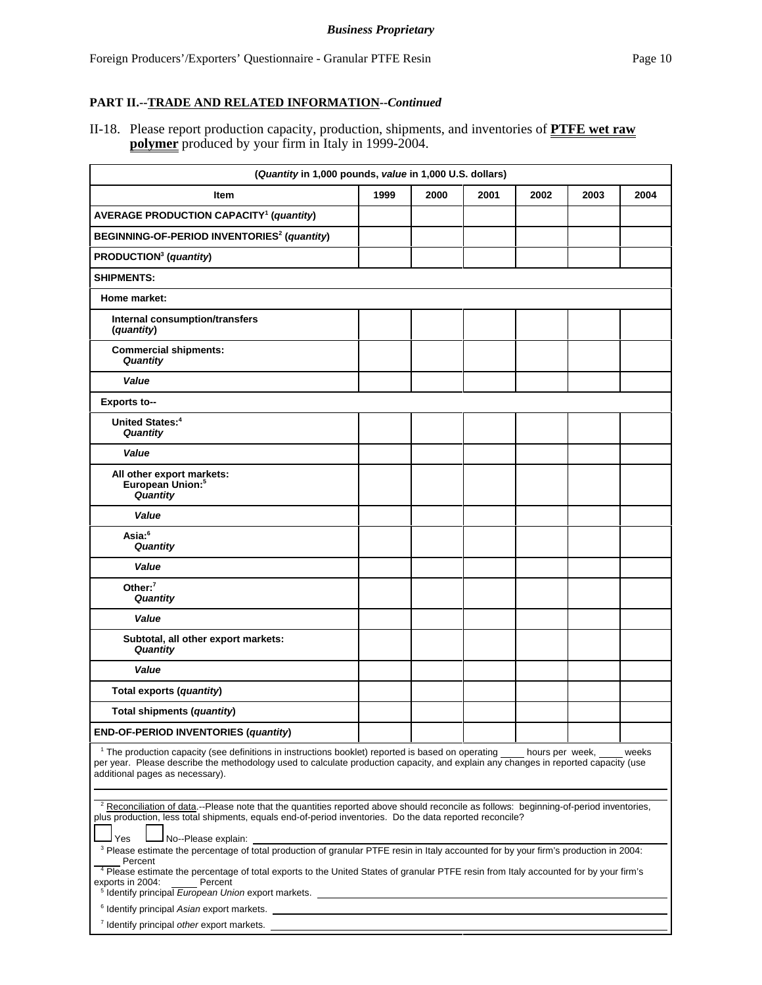II-18. Please report production capacity, production, shipments, and inventories of **PTFE wet raw polymer** produced by your firm in Italy in 1999-2004.

| (Quantity in 1,000 pounds, value in 1,000 U.S. dollars)                                                                                                                                                                                                                                                                                                                                                                                                                                                                                                                                                         |      |      |      |      |      |      |  |
|-----------------------------------------------------------------------------------------------------------------------------------------------------------------------------------------------------------------------------------------------------------------------------------------------------------------------------------------------------------------------------------------------------------------------------------------------------------------------------------------------------------------------------------------------------------------------------------------------------------------|------|------|------|------|------|------|--|
| Item                                                                                                                                                                                                                                                                                                                                                                                                                                                                                                                                                                                                            | 1999 | 2000 | 2001 | 2002 | 2003 | 2004 |  |
| <b>AVERAGE PRODUCTION CAPACITY<sup>1</sup> (quantity)</b>                                                                                                                                                                                                                                                                                                                                                                                                                                                                                                                                                       |      |      |      |      |      |      |  |
| BEGINNING-OF-PERIOD INVENTORIES <sup>2</sup> (quantity)                                                                                                                                                                                                                                                                                                                                                                                                                                                                                                                                                         |      |      |      |      |      |      |  |
| PRODUCTION <sup>3</sup> (quantity)                                                                                                                                                                                                                                                                                                                                                                                                                                                                                                                                                                              |      |      |      |      |      |      |  |
| <b>SHIPMENTS:</b>                                                                                                                                                                                                                                                                                                                                                                                                                                                                                                                                                                                               |      |      |      |      |      |      |  |
| Home market:                                                                                                                                                                                                                                                                                                                                                                                                                                                                                                                                                                                                    |      |      |      |      |      |      |  |
| Internal consumption/transfers<br>(quantity)                                                                                                                                                                                                                                                                                                                                                                                                                                                                                                                                                                    |      |      |      |      |      |      |  |
| <b>Commercial shipments:</b><br>Quantity                                                                                                                                                                                                                                                                                                                                                                                                                                                                                                                                                                        |      |      |      |      |      |      |  |
| Value                                                                                                                                                                                                                                                                                                                                                                                                                                                                                                                                                                                                           |      |      |      |      |      |      |  |
| <b>Exports to--</b>                                                                                                                                                                                                                                                                                                                                                                                                                                                                                                                                                                                             |      |      |      |      |      |      |  |
| <b>United States:</b> <sup>4</sup><br>Quantity                                                                                                                                                                                                                                                                                                                                                                                                                                                                                                                                                                  |      |      |      |      |      |      |  |
| Value                                                                                                                                                                                                                                                                                                                                                                                                                                                                                                                                                                                                           |      |      |      |      |      |      |  |
| All other export markets:<br>European Union: <sup>5</sup><br>Quantity                                                                                                                                                                                                                                                                                                                                                                                                                                                                                                                                           |      |      |      |      |      |      |  |
| Value                                                                                                                                                                                                                                                                                                                                                                                                                                                                                                                                                                                                           |      |      |      |      |      |      |  |
| Asia: <sup>6</sup><br>Quantity                                                                                                                                                                                                                                                                                                                                                                                                                                                                                                                                                                                  |      |      |      |      |      |      |  |
| Value                                                                                                                                                                                                                                                                                                                                                                                                                                                                                                                                                                                                           |      |      |      |      |      |      |  |
| Other: $7$<br>Quantity                                                                                                                                                                                                                                                                                                                                                                                                                                                                                                                                                                                          |      |      |      |      |      |      |  |
| Value                                                                                                                                                                                                                                                                                                                                                                                                                                                                                                                                                                                                           |      |      |      |      |      |      |  |
| Subtotal, all other export markets:<br>Quantity                                                                                                                                                                                                                                                                                                                                                                                                                                                                                                                                                                 |      |      |      |      |      |      |  |
| Value                                                                                                                                                                                                                                                                                                                                                                                                                                                                                                                                                                                                           |      |      |      |      |      |      |  |
| Total exports (quantity)                                                                                                                                                                                                                                                                                                                                                                                                                                                                                                                                                                                        |      |      |      |      |      |      |  |
| Total shipments (quantity)                                                                                                                                                                                                                                                                                                                                                                                                                                                                                                                                                                                      |      |      |      |      |      |      |  |
| <b>END-OF-PERIOD INVENTORIES (quantity)</b>                                                                                                                                                                                                                                                                                                                                                                                                                                                                                                                                                                     |      |      |      |      |      |      |  |
| <sup>1</sup> The production capacity (see definitions in instructions booklet) reported is based on operating<br>hours per week,<br>weeks<br>per year. Please describe the methodology used to calculate production capacity, and explain any changes in reported capacity (use<br>additional pages as necessary).                                                                                                                                                                                                                                                                                              |      |      |      |      |      |      |  |
| <sup>2</sup> Reconciliation of data.--Please note that the quantities reported above should reconcile as follows: beginning-of-period inventories,<br>plus production, less total shipments, equals end-of-period inventories. Do the data reported reconcile?<br>No--Please explain:<br>Yes<br><sup>3</sup> Please estimate the percentage of total production of granular PTFE resin in Italy accounted for by your firm's production in 2004:<br>Percent<br><sup>4</sup> Please estimate the percentage of total exports to the United States of granular PTFE resin from Italy accounted for by your firm's |      |      |      |      |      |      |  |
| exports in 2004:<br>Percent<br><sup>5</sup> Identify principal European Union export markets. <u>Contract and the contract of the contract of the contract of</u><br><sup>6</sup> Identify principal Asian export markets.                                                                                                                                                                                                                                                                                                                                                                                      |      |      |      |      |      |      |  |
| <sup>7</sup> Identify principal other export markets.                                                                                                                                                                                                                                                                                                                                                                                                                                                                                                                                                           |      |      |      |      |      |      |  |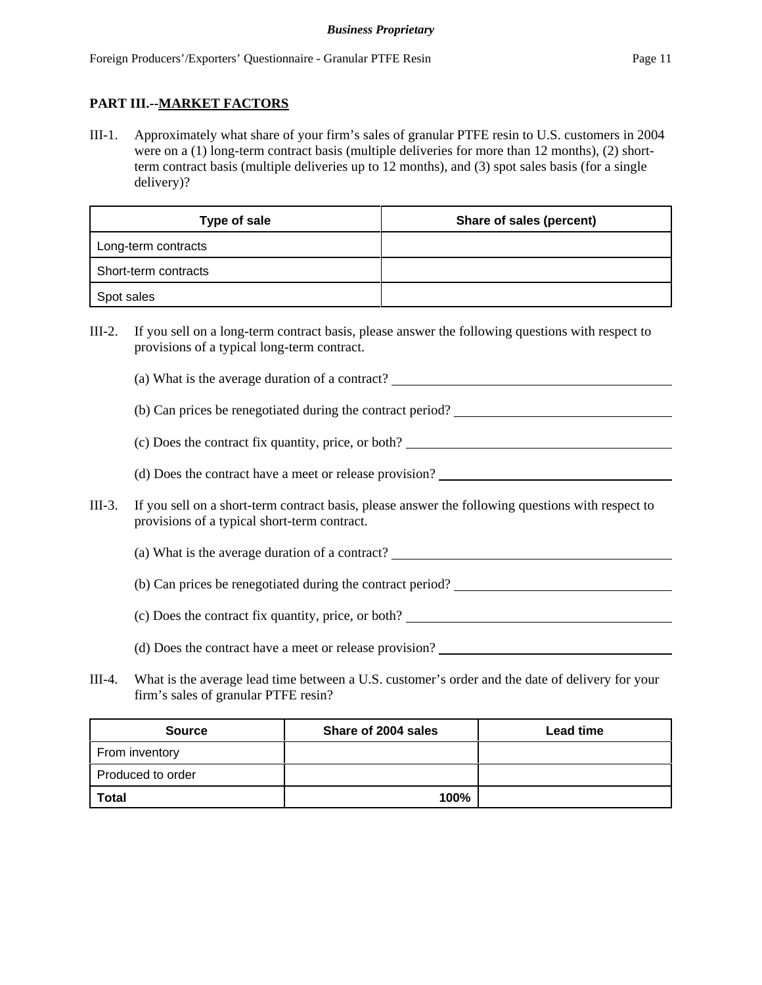### **PART III.--MARKET FACTORS**

III-1. Approximately what share of your firm's sales of granular PTFE resin to U.S. customers in 2004 were on a (1) long-term contract basis (multiple deliveries for more than 12 months), (2) shortterm contract basis (multiple deliveries up to 12 months), and (3) spot sales basis (for a single delivery)?

| Type of sale         | Share of sales (percent) |
|----------------------|--------------------------|
| Long-term contracts  |                          |
| Short-term contracts |                          |
| Spot sales           |                          |

III-2. If you sell on a long-term contract basis, please answer the following questions with respect to provisions of a typical long-term contract.

(a) What is the average duration of a contract?

(b) Can prices be renegotiated during the contract period?

(c) Does the contract fix quantity, price, or both?

- (d) Does the contract have a meet or release provision?
- III-3. If you sell on a short-term contract basis, please answer the following questions with respect to provisions of a typical short-term contract.

(a) What is the average duration of a contract?

(b) Can prices be renegotiated during the contract period?

(c) Does the contract fix quantity, price, or both?

- (d) Does the contract have a meet or release provision?
- III-4. What is the average lead time between a U.S. customer's order and the date of delivery for your firm's sales of granular PTFE resin?

| <b>Source</b>     | Share of 2004 sales | <b>Lead time</b> |
|-------------------|---------------------|------------------|
| From inventory    |                     |                  |
| Produced to order |                     |                  |
| <b>Total</b>      | 100%                |                  |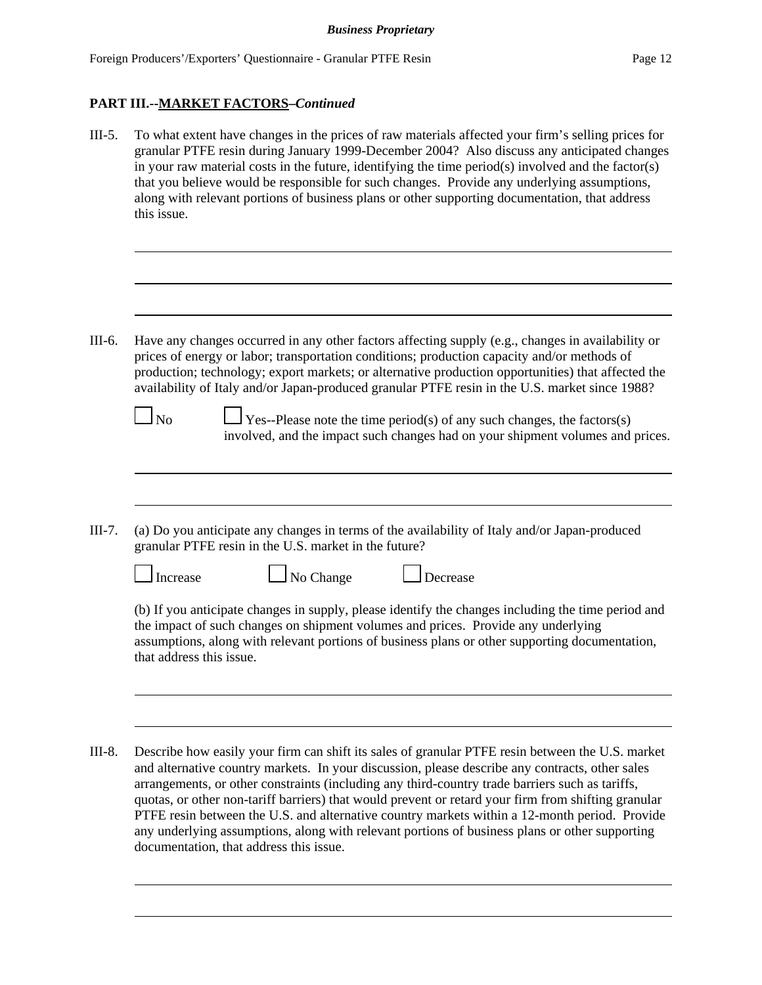III-5. To what extent have changes in the prices of raw materials affected your firm's selling prices for granular PTFE resin during January 1999-December 2004? Also discuss any anticipated changes in your raw material costs in the future, identifying the time period(s) involved and the factor(s) that you believe would be responsible for such changes. Provide any underlying assumptions, along with relevant portions of business plans or other supporting documentation, that address this issue.

```
III-6. Have any changes occurred in any other factors affecting supply (e.g., changes in availability or
prices of energy or labor; transportation conditions; production capacity and/or methods of
production; technology; export markets; or alternative production opportunities) that affected the
availability of Italy and/or Japan-produced granular PTFE resin in the U.S. market since 1988?
```
 $\Box$  No  $\Box$  Yes--Please note the time period(s) of any such changes, the factors(s) involved, and the impact such changes had on your shipment volumes and prices.

III-7. (a) Do you anticipate any changes in terms of the availability of Italy and/or Japan-produced granular PTFE resin in the U.S. market in the future?

 $\Box$  No Change  $\Box$  Decrease

(b) If you anticipate changes in supply, please identify the changes including the time period and the impact of such changes on shipment volumes and prices. Provide any underlying assumptions, along with relevant portions of business plans or other supporting documentation, that address this issue.

III-8. Describe how easily your firm can shift its sales of granular PTFE resin between the U.S. market and alternative country markets. In your discussion, please describe any contracts, other sales arrangements, or other constraints (including any third-country trade barriers such as tariffs, quotas, or other non-tariff barriers) that would prevent or retard your firm from shifting granular PTFE resin between the U.S. and alternative country markets within a 12-month period. Provide any underlying assumptions, along with relevant portions of business plans or other supporting documentation, that address this issue.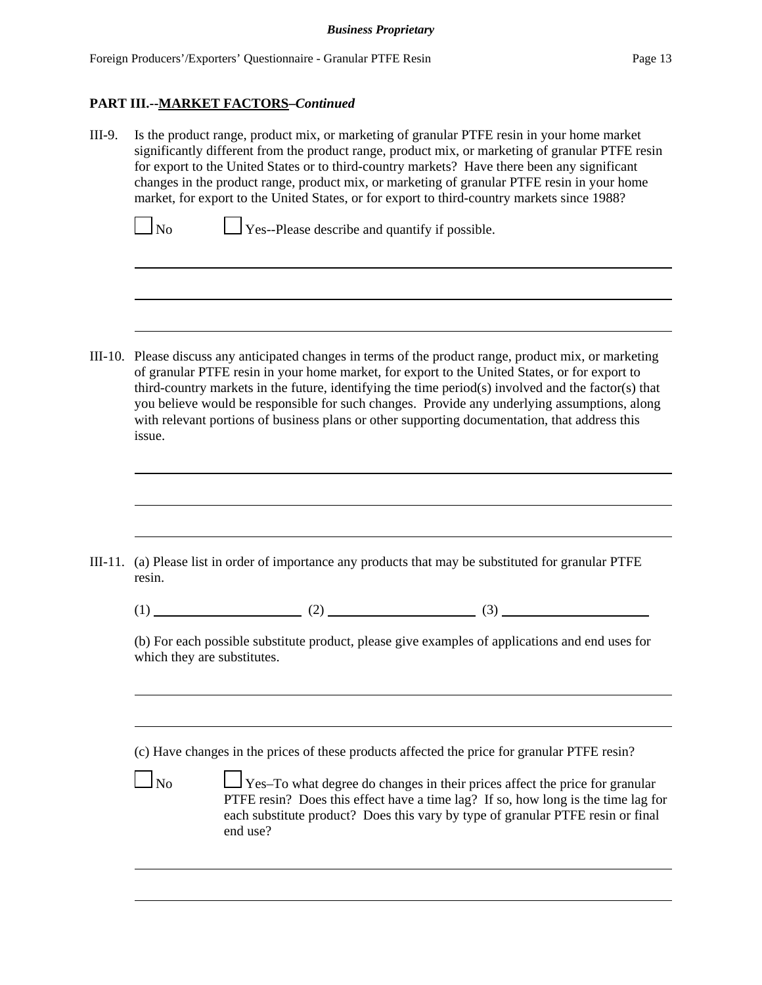III-9. Is the product range, product mix, or marketing of granular PTFE resin in your home market significantly different from the product range, product mix, or marketing of granular PTFE resin for export to the United States or to third-country markets? Have there been any significant changes in the product range, product mix, or marketing of granular PTFE resin in your home market, for export to the United States, or for export to third-country markets since 1988?

 $\Box$  No  $\Box$  Yes--Please describe and quantify if possible.

III-10. Please discuss any anticipated changes in terms of the product range, product mix, or marketing of granular PTFE resin in your home market, for export to the United States, or for export to third-country markets in the future, identifying the time period(s) involved and the factor(s) that you believe would be responsible for such changes. Provide any underlying assumptions, along with relevant portions of business plans or other supporting documentation, that address this issue.

- III-11. (a) Please list in order of importance any products that may be substituted for granular PTFE resin.
	- (1)  $(2)$   $(3)$

(b) For each possible substitute product, please give examples of applications and end uses for which they are substitutes.

(c) Have changes in the prices of these products affected the price for granular PTFE resin?

 $\Box$  No  $\Box$  Yes–To what degree do changes in their prices affect the price for granular PTFE resin? Does this effect have a time lag? If so, how long is the time lag for each substitute product? Does this vary by type of granular PTFE resin or final end use?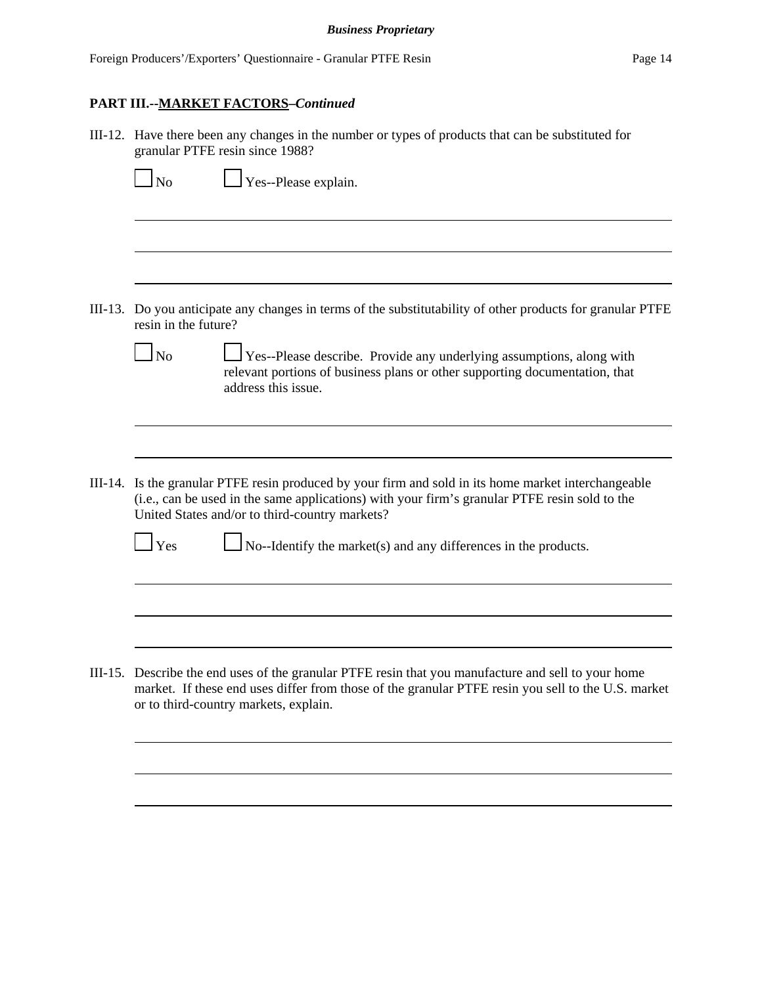| III-12. Have there been any changes in the number or types of products that can be substituted for<br>granular PTFE resin since 1988?                                                                                                                   |  |  |
|---------------------------------------------------------------------------------------------------------------------------------------------------------------------------------------------------------------------------------------------------------|--|--|
| $\log$<br>Yes--Please explain.                                                                                                                                                                                                                          |  |  |
|                                                                                                                                                                                                                                                         |  |  |
| III-13. Do you anticipate any changes in terms of the substitutability of other products for granular PTFE<br>resin in the future?                                                                                                                      |  |  |
| $\Box$ No<br><b>Yes--Please describe.</b> Provide any underlying assumptions, along with<br>relevant portions of business plans or other supporting documentation, that<br>address this issue.                                                          |  |  |
|                                                                                                                                                                                                                                                         |  |  |
| III-14. Is the granular PTFE resin produced by your firm and sold in its home market interchangeable<br>(i.e., can be used in the same applications) with your firm's granular PTFE resin sold to the<br>United States and/or to third-country markets? |  |  |
| $\mathbf{\perp}$ Yes<br>$\log N$ -Identify the market(s) and any differences in the products.                                                                                                                                                           |  |  |
|                                                                                                                                                                                                                                                         |  |  |
|                                                                                                                                                                                                                                                         |  |  |
| III-15. Describe the end uses of the granular PTFE resin that you manufacture and sell to your home<br>market. If these end uses differ from those of the granular PTFE resin you sell to the U.S. market<br>or to third-country markets, explain.      |  |  |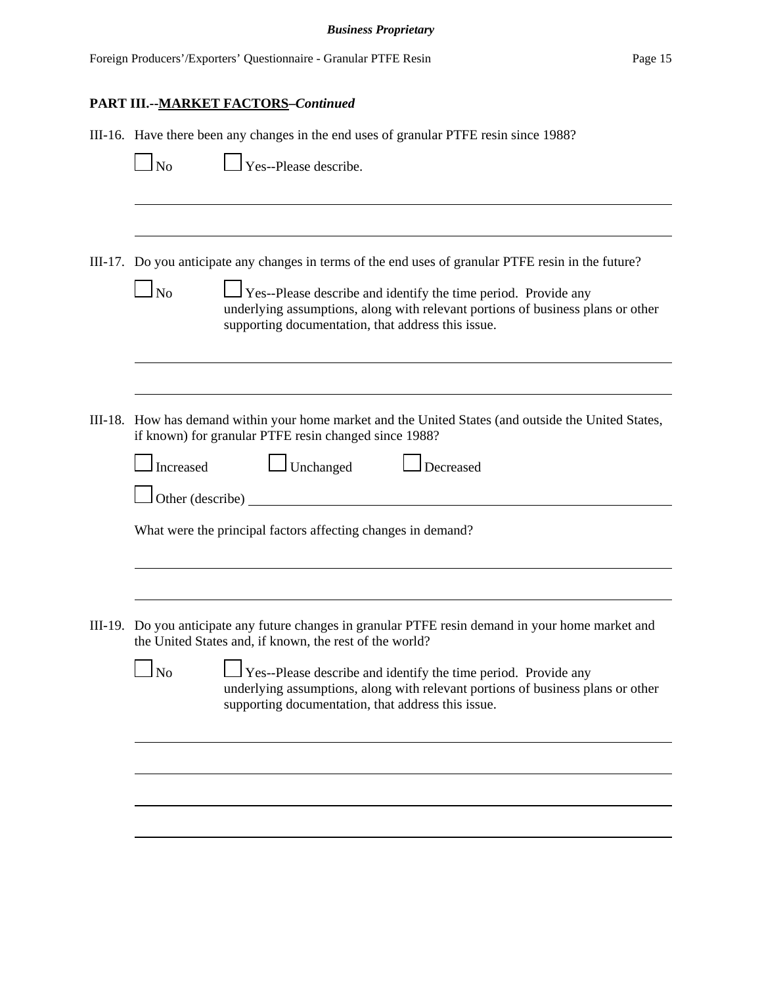| III-16. Have there been any changes in the end uses of granular PTFE resin since 1988?                                                                                                                                                                                                                          |  |  |  |
|-----------------------------------------------------------------------------------------------------------------------------------------------------------------------------------------------------------------------------------------------------------------------------------------------------------------|--|--|--|
|                                                                                                                                                                                                                                                                                                                 |  |  |  |
|                                                                                                                                                                                                                                                                                                                 |  |  |  |
| III-17. Do you anticipate any changes in terms of the end uses of granular PTFE resin in the future?<br>Yes--Please describe and identify the time period. Provide any<br>underlying assumptions, along with relevant portions of business plans or other<br>supporting documentation, that address this issue. |  |  |  |
|                                                                                                                                                                                                                                                                                                                 |  |  |  |
| III-18. How has demand within your home market and the United States (and outside the United States,<br>if known) for granular PTFE resin changed since 1988?                                                                                                                                                   |  |  |  |
| Decreased                                                                                                                                                                                                                                                                                                       |  |  |  |
| $\Box$ Other (describe) $\Box$                                                                                                                                                                                                                                                                                  |  |  |  |
| What were the principal factors affecting changes in demand?                                                                                                                                                                                                                                                    |  |  |  |
|                                                                                                                                                                                                                                                                                                                 |  |  |  |
| Do you anticipate any future changes in granular PTFE resin demand in your home market and                                                                                                                                                                                                                      |  |  |  |
| $\perp$ Yes--Please describe and identify the time period. Provide any<br>underlying assumptions, along with relevant portions of business plans or other<br>supporting documentation, that address this issue.                                                                                                 |  |  |  |
|                                                                                                                                                                                                                                                                                                                 |  |  |  |
|                                                                                                                                                                                                                                                                                                                 |  |  |  |
|                                                                                                                                                                                                                                                                                                                 |  |  |  |
|                                                                                                                                                                                                                                                                                                                 |  |  |  |